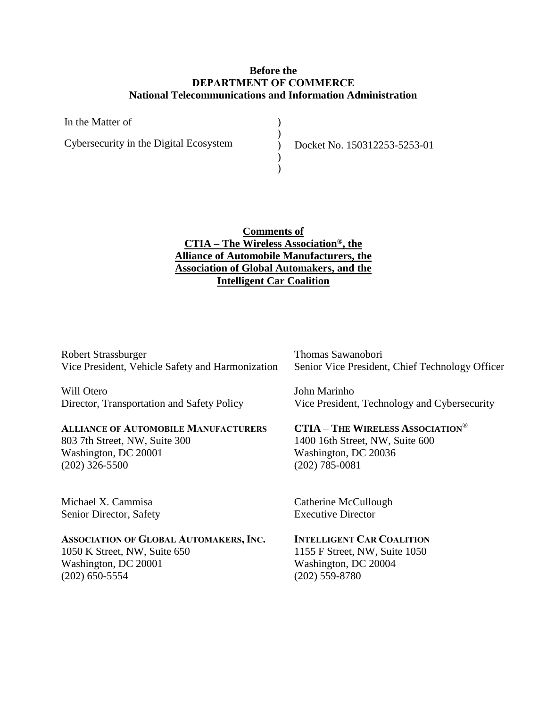### **Before the DEPARTMENT OF COMMERCE National Telecommunications and Information Administration**

| In the Matter of                       |  |
|----------------------------------------|--|
| Cybersecurity in the Digital Ecosystem |  |
|                                        |  |
|                                        |  |

) Docket No. 150312253-5253-01

# **Comments of CTIA – The Wireless Association®, the Alliance of Automobile Manufacturers, the Association of Global Automakers, and the Intelligent Car Coalition**

Robert Strassburger Vice President, Vehicle Safety and Harmonization

Will Otero Director, Transportation and Safety Policy

#### **ALLIANCE OF AUTOMOBILE MANUFACTURERS**

803 7th Street, NW, Suite 300 Washington, DC 20001 (202) 326-5500

Michael X. Cammisa Senior Director, Safety

### **ASSOCIATION OF GLOBAL AUTOMAKERS, INC.**

1050 K Street, NW, Suite 650 Washington, DC 20001 (202) 650-5554

Thomas Sawanobori Senior Vice President, Chief Technology Officer

John Marinho Vice President, Technology and Cybersecurity

### **CTIA** – **THE WIRELESS ASSOCIATION**®

1400 16th Street, NW, Suite 600 Washington, DC 20036 (202) 785-0081

Catherine McCullough Executive Director

# **INTELLIGENT CAR COALITION**

1155 F Street, NW, Suite 1050 Washington, DC 20004 (202) 559-8780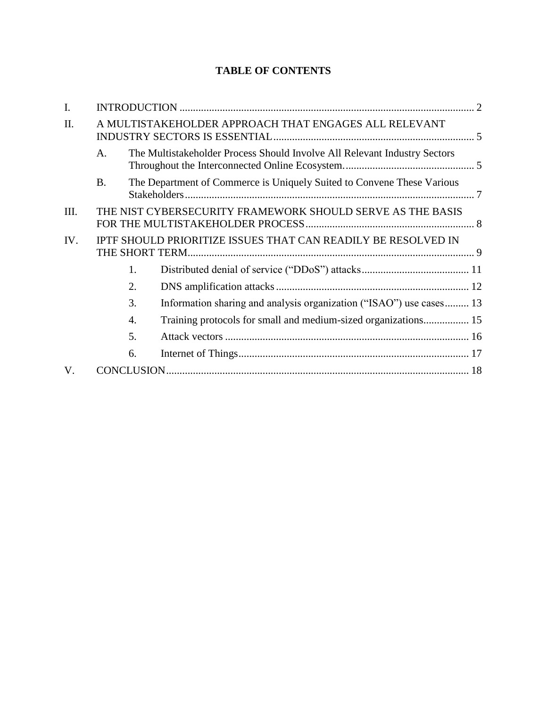# **TABLE OF CONTENTS**

| I.  |                                                               |                                                                           |  |  |
|-----|---------------------------------------------------------------|---------------------------------------------------------------------------|--|--|
| II. |                                                               | A MULTISTAKEHOLDER APPROACH THAT ENGAGES ALL RELEVANT                     |  |  |
|     | A.                                                            | The Multistakeholder Process Should Involve All Relevant Industry Sectors |  |  |
|     | <b>B.</b>                                                     | The Department of Commerce is Uniquely Suited to Convene These Various    |  |  |
| Ш.  | THE NIST CYBERSECURITY FRAMEWORK SHOULD SERVE AS THE BASIS    |                                                                           |  |  |
| IV. | IPTF SHOULD PRIORITIZE ISSUES THAT CAN READILY BE RESOLVED IN |                                                                           |  |  |
|     | 1.                                                            |                                                                           |  |  |
|     | 2.                                                            |                                                                           |  |  |
|     | 3.                                                            | Information sharing and analysis organization ("ISAO") use cases 13       |  |  |
|     | 4.                                                            | Training protocols for small and medium-sized organizations 15            |  |  |
|     | 5.                                                            |                                                                           |  |  |
|     | 6.                                                            |                                                                           |  |  |
| V.  |                                                               |                                                                           |  |  |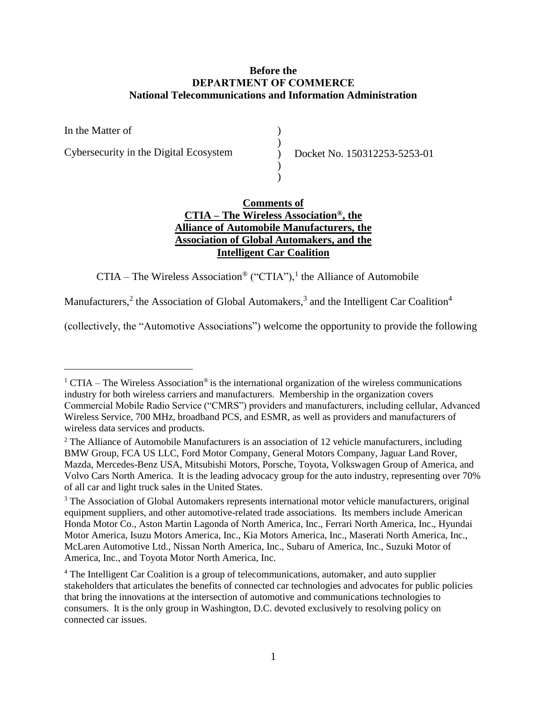## **Before the DEPARTMENT OF COMMERCE National Telecommunications and Information Administration**

In the Matter of Cybersecurity in the Digital Ecosystem )  $\begin{pmatrix} 1 \\ 2 \end{pmatrix}$ ) Docket No. 150312253-5253-01 ) )

# **Comments of CTIA – The Wireless Association®, the Alliance of Automobile Manufacturers, the Association of Global Automakers, and the Intelligent Car Coalition**

CTIA – The Wireless Association<sup>®</sup> ("CTIA"),<sup>1</sup> the Alliance of Automobile

Manufacturers,<sup>2</sup> the Association of Global Automakers,<sup>3</sup> and the Intelligent Car Coalition<sup>4</sup>

 $\overline{a}$ 

(collectively, the "Automotive Associations") welcome the opportunity to provide the following

 $1$  CTIA – The Wireless Association<sup>®</sup> is the international organization of the wireless communications industry for both wireless carriers and manufacturers. Membership in the organization covers Commercial Mobile Radio Service ("CMRS") providers and manufacturers, including cellular, Advanced Wireless Service, 700 MHz, broadband PCS, and ESMR, as well as providers and manufacturers of wireless data services and products.

<sup>&</sup>lt;sup>2</sup> The Alliance of Automobile Manufacturers is an association of 12 vehicle manufacturers, including BMW Group, FCA US LLC, Ford Motor Company, General Motors Company, Jaguar Land Rover, Mazda, Mercedes-Benz USA, Mitsubishi Motors, Porsche, Toyota, Volkswagen Group of America, and Volvo Cars North America. It is the leading advocacy group for the auto industry, representing over 70% of all car and light truck sales in the United States.

<sup>&</sup>lt;sup>3</sup> The Association of Global Automakers represents international motor vehicle manufacturers, original equipment suppliers, and other automotive-related trade associations. Its members include American Honda Motor Co., Aston Martin Lagonda of North America, Inc., Ferrari North America, Inc., Hyundai Motor America, Isuzu Motors America, Inc., Kia Motors America, Inc., Maserati North America, Inc., McLaren Automotive Ltd., Nissan North America, Inc., Subaru of America, Inc., Suzuki Motor of America, Inc., and Toyota Motor North America, Inc.

<sup>4</sup> The Intelligent Car Coalition is a group of telecommunications, automaker, and auto supplier stakeholders that articulates the benefits of connected car technologies and advocates for public policies that bring the innovations at the intersection of automotive and communications technologies to consumers. It is the only group in Washington, D.C. devoted exclusively to resolving policy on connected car issues.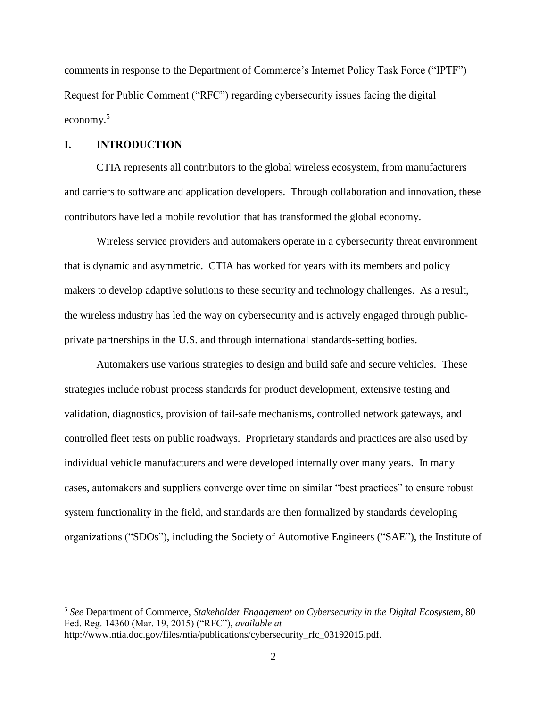comments in response to the Department of Commerce's Internet Policy Task Force ("IPTF") Request for Public Comment ("RFC") regarding cybersecurity issues facing the digital economy.<sup>5</sup>

### <span id="page-3-0"></span>**I. INTRODUCTION**

 $\overline{a}$ 

CTIA represents all contributors to the global wireless ecosystem, from manufacturers and carriers to software and application developers. Through collaboration and innovation, these contributors have led a mobile revolution that has transformed the global economy.

Wireless service providers and automakers operate in a cybersecurity threat environment that is dynamic and asymmetric. CTIA has worked for years with its members and policy makers to develop adaptive solutions to these security and technology challenges. As a result, the wireless industry has led the way on cybersecurity and is actively engaged through publicprivate partnerships in the U.S. and through international standards-setting bodies.

Automakers use various strategies to design and build safe and secure vehicles. These strategies include robust process standards for product development, extensive testing and validation, diagnostics, provision of fail-safe mechanisms, controlled network gateways, and controlled fleet tests on public roadways. Proprietary standards and practices are also used by individual vehicle manufacturers and were developed internally over many years. In many cases, automakers and suppliers converge over time on similar "best practices" to ensure robust system functionality in the field, and standards are then formalized by standards developing organizations ("SDOs"), including the Society of Automotive Engineers ("SAE"), the Institute of

<sup>5</sup> *See* Department of Commerce, *Stakeholder Engagement on Cybersecurity in the Digital Ecosystem*, 80 Fed. Reg. 14360 (Mar. 19, 2015) ("RFC"), *available at* http://www.ntia.doc.gov/files/ntia/publications/cybersecurity\_rfc\_03192015.pdf.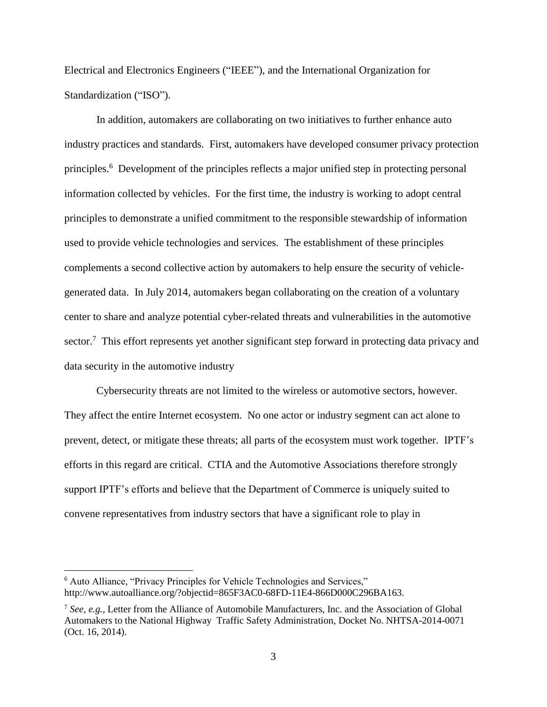Electrical and Electronics Engineers ("IEEE"), and the International Organization for Standardization ("ISO").

In addition, automakers are collaborating on two initiatives to further enhance auto industry practices and standards. First, automakers have developed consumer privacy protection principles.<sup>6</sup> Development of the principles reflects a major unified step in protecting personal information collected by vehicles. For the first time, the industry is working to adopt central principles to demonstrate a unified commitment to the responsible stewardship of information used to provide vehicle technologies and services. The establishment of these principles complements a second collective action by automakers to help ensure the security of vehiclegenerated data. In July 2014, automakers began collaborating on the creation of a voluntary center to share and analyze potential cyber-related threats and vulnerabilities in the automotive sector.<sup>7</sup> This effort represents yet another significant step forward in protecting data privacy and data security in the automotive industry

Cybersecurity threats are not limited to the wireless or automotive sectors, however. They affect the entire Internet ecosystem. No one actor or industry segment can act alone to prevent, detect, or mitigate these threats; all parts of the ecosystem must work together. IPTF's efforts in this regard are critical. CTIA and the Automotive Associations therefore strongly support IPTF's efforts and believe that the Department of Commerce is uniquely suited to convene representatives from industry sectors that have a significant role to play in

<sup>6</sup> Auto Alliance, "Privacy Principles for Vehicle Technologies and Services," http://www.autoalliance.org/?objectid=865F3AC0-68FD-11E4-866D000C296BA163.

<sup>7</sup> *See, e.g.*, Letter from the Alliance of Automobile Manufacturers, Inc. and the Association of Global Automakers to the National Highway Traffic Safety Administration, Docket No. NHTSA-2014-0071 (Oct. 16, 2014).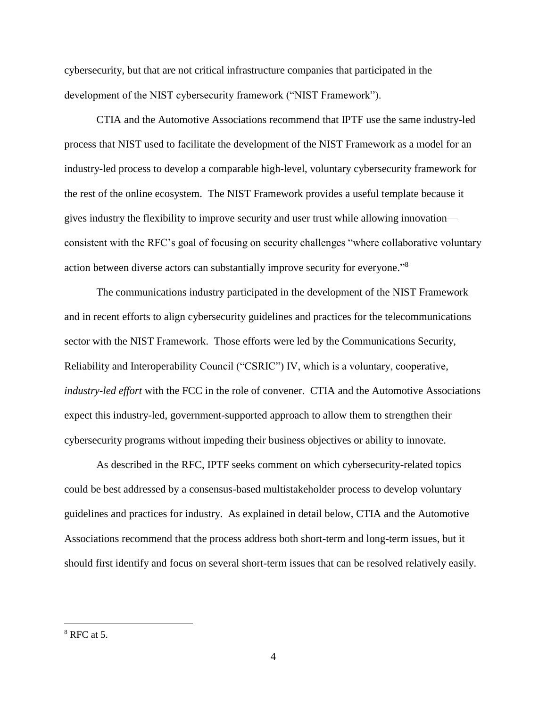cybersecurity, but that are not critical infrastructure companies that participated in the development of the NIST cybersecurity framework ("NIST Framework").

CTIA and the Automotive Associations recommend that IPTF use the same industry-led process that NIST used to facilitate the development of the NIST Framework as a model for an industry-led process to develop a comparable high-level, voluntary cybersecurity framework for the rest of the online ecosystem. The NIST Framework provides a useful template because it gives industry the flexibility to improve security and user trust while allowing innovation consistent with the RFC's goal of focusing on security challenges "where collaborative voluntary action between diverse actors can substantially improve security for everyone." 8

The communications industry participated in the development of the NIST Framework and in recent efforts to align cybersecurity guidelines and practices for the telecommunications sector with the NIST Framework. Those efforts were led by the Communications Security, Reliability and Interoperability Council ("CSRIC") IV, which is a voluntary, cooperative, *industry-led effort* with the FCC in the role of convener. CTIA and the Automotive Associations expect this industry-led, government-supported approach to allow them to strengthen their cybersecurity programs without impeding their business objectives or ability to innovate.

As described in the RFC, IPTF seeks comment on which cybersecurity-related topics could be best addressed by a consensus-based multistakeholder process to develop voluntary guidelines and practices for industry. As explained in detail below, CTIA and the Automotive Associations recommend that the process address both short-term and long-term issues, but it should first identify and focus on several short-term issues that can be resolved relatively easily.

 $8$  RFC at 5.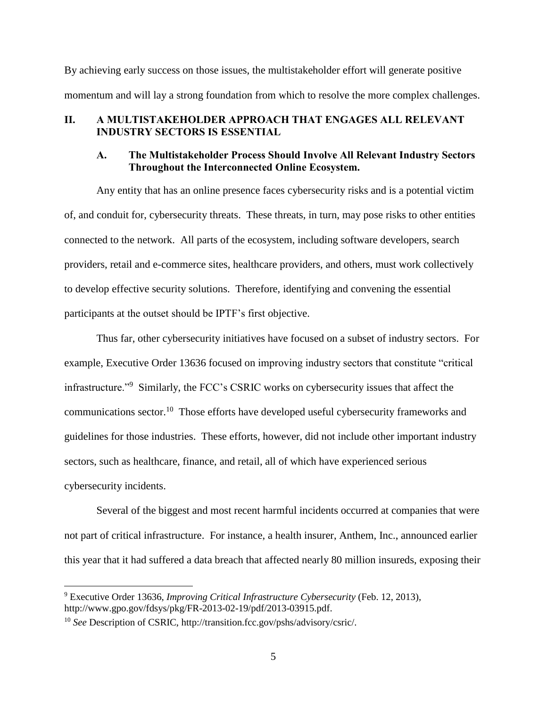By achieving early success on those issues, the multistakeholder effort will generate positive momentum and will lay a strong foundation from which to resolve the more complex challenges.

# <span id="page-6-1"></span><span id="page-6-0"></span>**II. A MULTISTAKEHOLDER APPROACH THAT ENGAGES ALL RELEVANT INDUSTRY SECTORS IS ESSENTIAL**

### **A. The Multistakeholder Process Should Involve All Relevant Industry Sectors Throughout the Interconnected Online Ecosystem.**

Any entity that has an online presence faces cybersecurity risks and is a potential victim of, and conduit for, cybersecurity threats. These threats, in turn, may pose risks to other entities connected to the network. All parts of the ecosystem, including software developers, search providers, retail and e-commerce sites, healthcare providers, and others, must work collectively to develop effective security solutions. Therefore, identifying and convening the essential participants at the outset should be IPTF's first objective.

Thus far, other cybersecurity initiatives have focused on a subset of industry sectors. For example, Executive Order 13636 focused on improving industry sectors that constitute "critical infrastructure."<sup>9</sup> Similarly, the FCC's CSRIC works on cybersecurity issues that affect the communications sector.<sup>10</sup> Those efforts have developed useful cybersecurity frameworks and guidelines for those industries. These efforts, however, did not include other important industry sectors, such as healthcare, finance, and retail, all of which have experienced serious cybersecurity incidents.

Several of the biggest and most recent harmful incidents occurred at companies that were not part of critical infrastructure. For instance, a health insurer, Anthem, Inc., announced earlier this year that it had suffered a data breach that affected nearly 80 million insureds, exposing their

<sup>9</sup> Executive Order 13636, *Improving Critical Infrastructure Cybersecurity* (Feb. 12, 2013), http://www.gpo.gov/fdsys/pkg/FR-2013-02-19/pdf/2013-03915.pdf.

<sup>10</sup> *See* Description of CSRIC, http://transition.fcc.gov/pshs/advisory/csric/.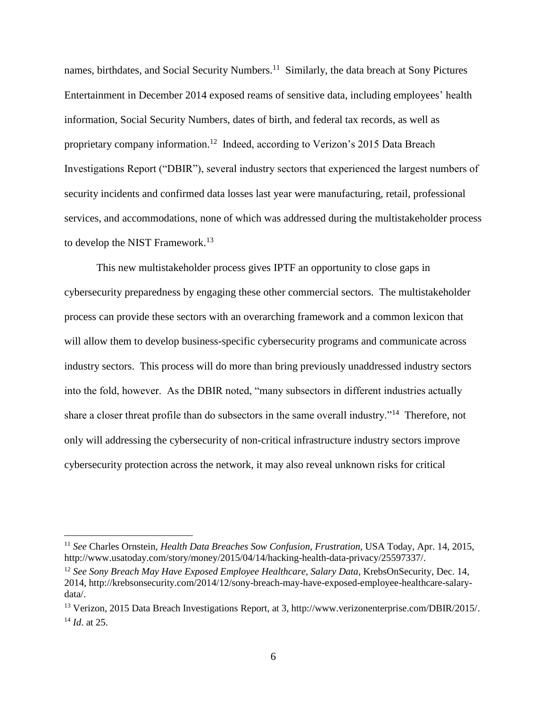names, birthdates, and Social Security Numbers.<sup>11</sup> Similarly, the data breach at Sony Pictures Entertainment in December 2014 exposed reams of sensitive data, including employees' health information, Social Security Numbers, dates of birth, and federal tax records, as well as proprietary company information.<sup>12</sup> Indeed, according to Verizon's 2015 Data Breach Investigations Report ("DBIR"), several industry sectors that experienced the largest numbers of security incidents and confirmed data losses last year were manufacturing, retail, professional services, and accommodations, none of which was addressed during the multistakeholder process to develop the NIST Framework.<sup>13</sup>

This new multistakeholder process gives IPTF an opportunity to close gaps in cybersecurity preparedness by engaging these other commercial sectors. The multistakeholder process can provide these sectors with an overarching framework and a common lexicon that will allow them to develop business-specific cybersecurity programs and communicate across industry sectors. This process will do more than bring previously unaddressed industry sectors into the fold, however. As the DBIR noted, "many subsectors in different industries actually share a closer threat profile than do subsectors in the same overall industry."<sup>14</sup> Therefore, not only will addressing the cybersecurity of non-critical infrastructure industry sectors improve cybersecurity protection across the network, it may also reveal unknown risks for critical

<sup>11</sup> *See* Charles Ornstein, *Health Data Breaches Sow Confusion, Frustration*, USA Today, Apr. 14, 2015, http://www.usatoday.com/story/money/2015/04/14/hacking-health-data-privacy/25597337/.

<sup>12</sup> *See Sony Breach May Have Exposed Employee Healthcare, Salary Data*, KrebsOnSecurity, Dec. 14, 2014, http://krebsonsecurity.com/2014/12/sony-breach-may-have-exposed-employee-healthcare-salarydata/.

<sup>13</sup> Verizon, 2015 Data Breach Investigations Report, at 3, http://www.verizonenterprise.com/DBIR/2015/. <sup>14</sup> *Id*. at 25.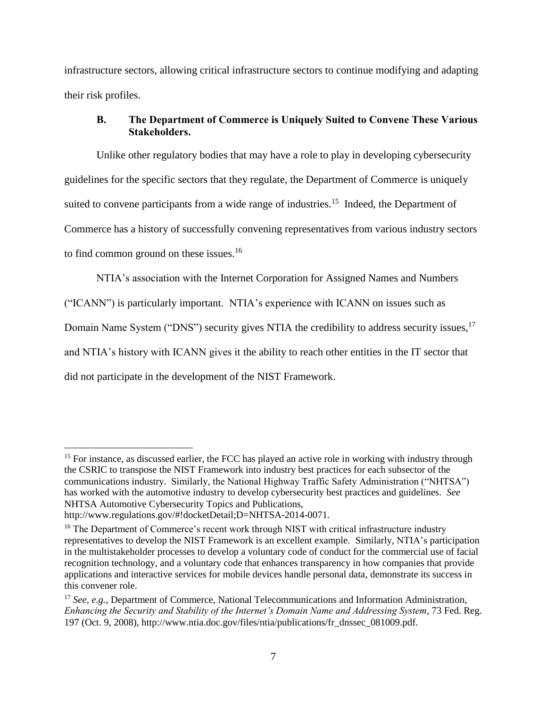infrastructure sectors, allowing critical infrastructure sectors to continue modifying and adapting their risk profiles.

# <span id="page-8-0"></span>**B. The Department of Commerce is Uniquely Suited to Convene These Various Stakeholders.**

Unlike other regulatory bodies that may have a role to play in developing cybersecurity guidelines for the specific sectors that they regulate, the Department of Commerce is uniquely suited to convene participants from a wide range of industries.<sup>15</sup> Indeed, the Department of Commerce has a history of successfully convening representatives from various industry sectors to find common ground on these issues.<sup>16</sup>

NTIA's association with the Internet Corporation for Assigned Names and Numbers ("ICANN") is particularly important. NTIA's experience with ICANN on issues such as Domain Name System ("DNS") security gives NTIA the credibility to address security issues, <sup>17</sup> and NTIA's history with ICANN gives it the ability to reach other entities in the IT sector that did not participate in the development of the NIST Framework.

<sup>&</sup>lt;sup>15</sup> For instance, as discussed earlier, the FCC has played an active role in working with industry through the CSRIC to transpose the NIST Framework into industry best practices for each subsector of the communications industry. Similarly, the National Highway Traffic Safety Administration ("NHTSA") has worked with the automotive industry to develop cybersecurity best practices and guidelines. *See*  NHTSA Automotive Cybersecurity Topics and Publications, http://www.regulations.gov/#!docketDetail;D=NHTSA-2014-0071.

<sup>&</sup>lt;sup>16</sup> The Department of Commerce's recent work through NIST with critical infrastructure industry representatives to develop the NIST Framework is an excellent example. Similarly, NTIA's participation in the multistakeholder processes to develop a voluntary code of conduct for the commercial use of facial recognition technology, and a voluntary code that enhances transparency in how companies that provide applications and interactive services for mobile devices handle personal data, demonstrate its success in this convener role.

<sup>17</sup> *See, e.g.*, Department of Commerce, National Telecommunications and Information Administration, *Enhancing the Security and Stability of the Internet's Domain Name and Addressing System*, 73 Fed. Reg. 197 (Oct. 9, 2008), http://www.ntia.doc.gov/files/ntia/publications/fr\_dnssec\_081009.pdf.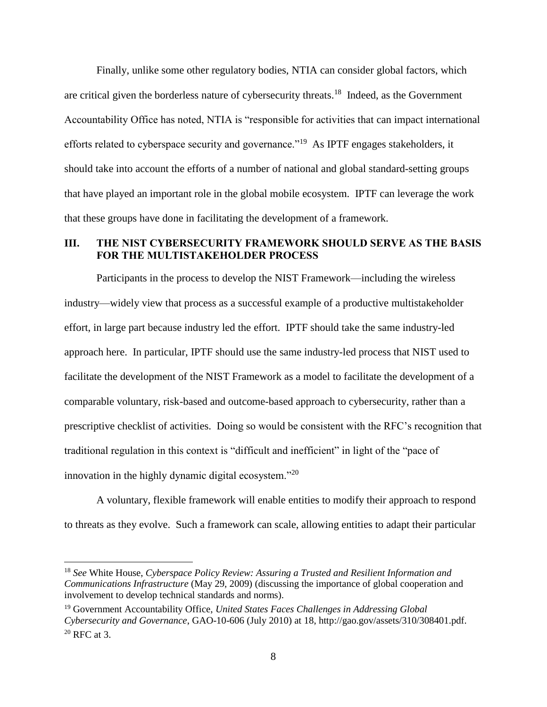Finally, unlike some other regulatory bodies, NTIA can consider global factors, which are critical given the borderless nature of cybersecurity threats.<sup>18</sup> Indeed, as the Government Accountability Office has noted, NTIA is "responsible for activities that can impact international efforts related to cyberspace security and governance."<sup>19</sup> As IPTF engages stakeholders, it should take into account the efforts of a number of national and global standard-setting groups that have played an important role in the global mobile ecosystem. IPTF can leverage the work that these groups have done in facilitating the development of a framework.

# <span id="page-9-0"></span>**III. THE NIST CYBERSECURITY FRAMEWORK SHOULD SERVE AS THE BASIS FOR THE MULTISTAKEHOLDER PROCESS**

Participants in the process to develop the NIST Framework—including the wireless industry—widely view that process as a successful example of a productive multistakeholder effort, in large part because industry led the effort. IPTF should take the same industry-led approach here. In particular, IPTF should use the same industry-led process that NIST used to facilitate the development of the NIST Framework as a model to facilitate the development of a comparable voluntary, risk-based and outcome-based approach to cybersecurity, rather than a prescriptive checklist of activities. Doing so would be consistent with the RFC's recognition that traditional regulation in this context is "difficult and inefficient" in light of the "pace of innovation in the highly dynamic digital ecosystem."<sup>20</sup>

A voluntary, flexible framework will enable entities to modify their approach to respond to threats as they evolve. Such a framework can scale, allowing entities to adapt their particular

<sup>18</sup> *See* White House, *Cyberspace Policy Review: Assuring a Trusted and Resilient Information and Communications Infrastructure* (May 29, 2009) (discussing the importance of global cooperation and involvement to develop technical standards and norms).

<sup>19</sup> Government Accountability Office, *United States Faces Challenges in Addressing Global Cybersecurity and Governance*, GAO-10-606 (July 2010) at 18, http://gao.gov/assets/310/308401.pdf.  $20$  RFC at 3.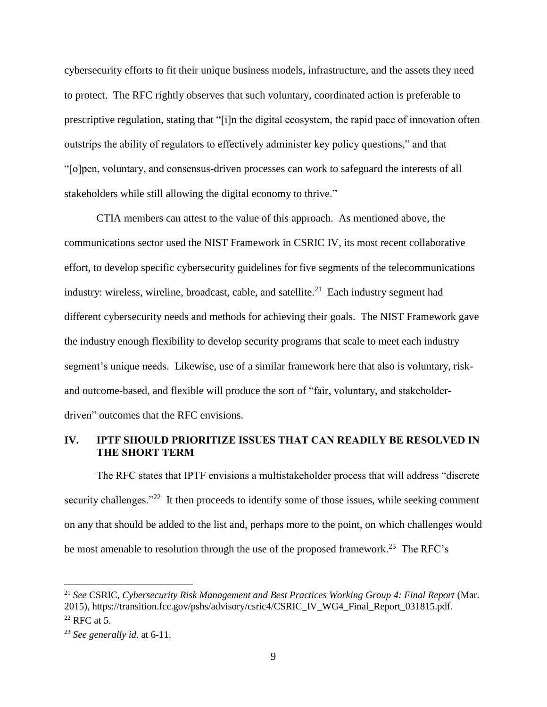cybersecurity efforts to fit their unique business models, infrastructure, and the assets they need to protect. The RFC rightly observes that such voluntary, coordinated action is preferable to prescriptive regulation, stating that "[i]n the digital ecosystem, the rapid pace of innovation often outstrips the ability of regulators to effectively administer key policy questions," and that "[o]pen, voluntary, and consensus-driven processes can work to safeguard the interests of all stakeholders while still allowing the digital economy to thrive."

CTIA members can attest to the value of this approach. As mentioned above, the communications sector used the NIST Framework in CSRIC IV, its most recent collaborative effort, to develop specific cybersecurity guidelines for five segments of the telecommunications industry: wireless, wireline, broadcast, cable, and satellite.<sup>21</sup> Each industry segment had different cybersecurity needs and methods for achieving their goals. The NIST Framework gave the industry enough flexibility to develop security programs that scale to meet each industry segment's unique needs. Likewise, use of a similar framework here that also is voluntary, riskand outcome-based, and flexible will produce the sort of "fair, voluntary, and stakeholderdriven" outcomes that the RFC envisions.

# <span id="page-10-0"></span>**IV. IPTF SHOULD PRIORITIZE ISSUES THAT CAN READILY BE RESOLVED IN THE SHORT TERM**

The RFC states that IPTF envisions a multistakeholder process that will address "discrete security challenges."<sup>22</sup> It then proceeds to identify some of those issues, while seeking comment on any that should be added to the list and, perhaps more to the point, on which challenges would be most amenable to resolution through the use of the proposed framework.<sup>23</sup> The RFC's

<sup>21</sup> *See* CSRIC, *Cybersecurity Risk Management and Best Practices Working Group 4: Final Report* (Mar. 2015), https://transition.fcc.gov/pshs/advisory/csric4/CSRIC\_IV\_WG4\_Final\_Report\_031815.pdf.  $22$  RFC at 5.

<sup>23</sup> *See generally id.* at 6-11.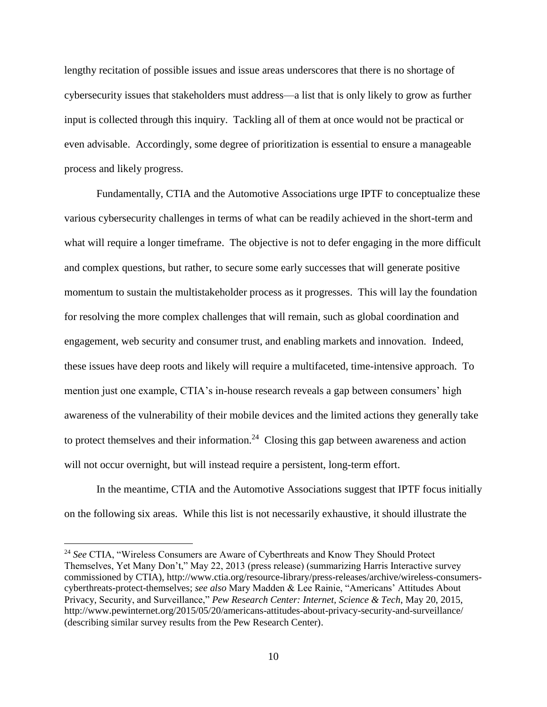lengthy recitation of possible issues and issue areas underscores that there is no shortage of cybersecurity issues that stakeholders must address—a list that is only likely to grow as further input is collected through this inquiry. Tackling all of them at once would not be practical or even advisable. Accordingly, some degree of prioritization is essential to ensure a manageable process and likely progress.

Fundamentally, CTIA and the Automotive Associations urge IPTF to conceptualize these various cybersecurity challenges in terms of what can be readily achieved in the short-term and what will require a longer timeframe. The objective is not to defer engaging in the more difficult and complex questions, but rather, to secure some early successes that will generate positive momentum to sustain the multistakeholder process as it progresses. This will lay the foundation for resolving the more complex challenges that will remain, such as global coordination and engagement, web security and consumer trust, and enabling markets and innovation. Indeed, these issues have deep roots and likely will require a multifaceted, time-intensive approach. To mention just one example, CTIA's in-house research reveals a gap between consumers' high awareness of the vulnerability of their mobile devices and the limited actions they generally take to protect themselves and their information.<sup>24</sup> Closing this gap between awareness and action will not occur overnight, but will instead require a persistent, long-term effort.

In the meantime, CTIA and the Automotive Associations suggest that IPTF focus initially on the following six areas. While this list is not necessarily exhaustive, it should illustrate the

<sup>24</sup> *See* CTIA, "Wireless Consumers are Aware of Cyberthreats and Know They Should Protect Themselves, Yet Many Don't," May 22, 2013 (press release) (summarizing Harris Interactive survey commissioned by CTIA), [http://www.ctia.org/resource-library/press-releases/archive/wireless-consumers](http://www.ctia.org/resource-library/press-releases/archive/wireless-consumers-cyberthreats-protect-themselves)[cyberthreats-protect-themselves;](http://www.ctia.org/resource-library/press-releases/archive/wireless-consumers-cyberthreats-protect-themselves) *see also* Mary Madden & Lee Rainie, "Americans' Attitudes About Privacy, Security, and Surveillance," *Pew Research Center: Internet, Science & Tech*, May 20, 2015, <http://www.pewinternet.org/2015/05/20/americans-attitudes-about-privacy-security-and-surveillance/> (describing similar survey results from the Pew Research Center).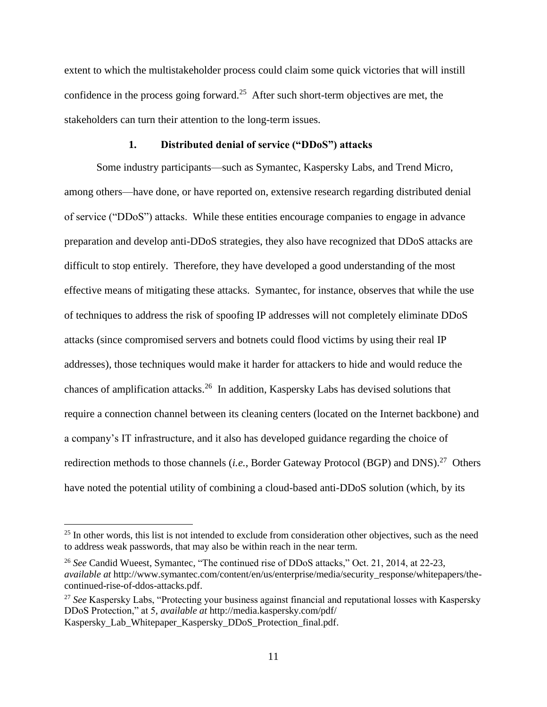extent to which the multistakeholder process could claim some quick victories that will instill confidence in the process going forward.<sup>25</sup> After such short-term objectives are met, the stakeholders can turn their attention to the long-term issues.

### **1. Distributed denial of service ("DDoS") attacks**

<span id="page-12-0"></span>Some industry participants—such as Symantec, Kaspersky Labs, and Trend Micro, among others—have done, or have reported on, extensive research regarding distributed denial of service ("DDoS") attacks. While these entities encourage companies to engage in advance preparation and develop anti-DDoS strategies, they also have recognized that DDoS attacks are difficult to stop entirely. Therefore, they have developed a good understanding of the most effective means of mitigating these attacks. Symantec, for instance, observes that while the use of techniques to address the risk of spoofing IP addresses will not completely eliminate DDoS attacks (since compromised servers and botnets could flood victims by using their real IP addresses), those techniques would make it harder for attackers to hide and would reduce the chances of amplification attacks.<sup>26</sup> In addition, Kaspersky Labs has devised solutions that require a connection channel between its cleaning centers (located on the Internet backbone) and a company's IT infrastructure, and it also has developed guidance regarding the choice of redirection methods to those channels (*i.e.*, Border Gateway Protocol (BGP) and DNS).<sup>27</sup> Others have noted the potential utility of combining a cloud-based anti-DDoS solution (which, by its

<sup>&</sup>lt;sup>25</sup> In other words, this list is not intended to exclude from consideration other objectives, such as the need to address weak passwords, that may also be within reach in the near term.

<sup>26</sup> *See* Candid Wueest, Symantec, "The continued rise of DDoS attacks," Oct. 21, 2014, at 22-23, *available at* http://www.symantec.com/content/en/us/enterprise/media/security\_response/whitepapers/thecontinued-rise-of-ddos-attacks.pdf.

<sup>&</sup>lt;sup>27</sup> See Kaspersky Labs, "Protecting your business against financial and reputational losses with Kaspersky DDoS Protection," at 5, *available at* [http://media.kaspersky.com/pdf/](http://media.kaspersky.com/pdf/%20Kaspersky_Lab_Whitepaper_Kaspersky_DDoS_Protection_final.pdf)  [Kaspersky\\_Lab\\_Whitepaper\\_Kaspersky\\_DDoS\\_Protection\\_final.pdf.](http://media.kaspersky.com/pdf/%20Kaspersky_Lab_Whitepaper_Kaspersky_DDoS_Protection_final.pdf)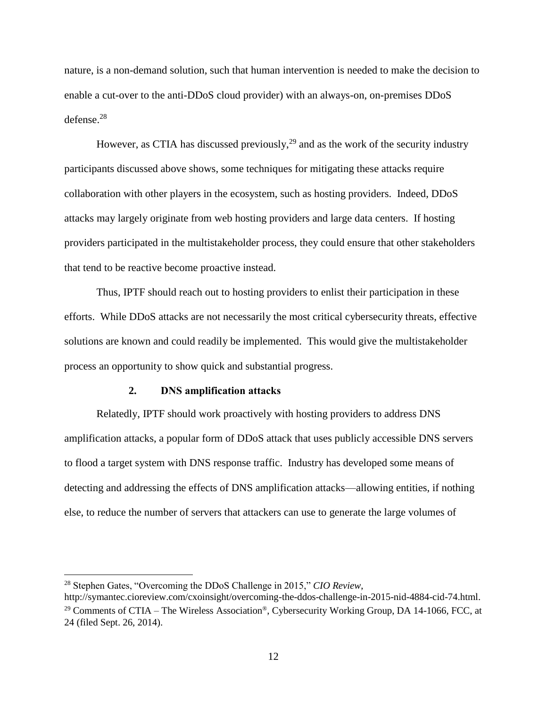nature, is a non-demand solution, such that human intervention is needed to make the decision to enable a cut-over to the anti-DDoS cloud provider) with an always-on, on-premises DDoS defense.<sup>28</sup>

However, as CTIA has discussed previously,  $2<sup>9</sup>$  and as the work of the security industry participants discussed above shows, some techniques for mitigating these attacks require collaboration with other players in the ecosystem, such as hosting providers. Indeed, DDoS attacks may largely originate from web hosting providers and large data centers. If hosting providers participated in the multistakeholder process, they could ensure that other stakeholders that tend to be reactive become proactive instead.

Thus, IPTF should reach out to hosting providers to enlist their participation in these efforts. While DDoS attacks are not necessarily the most critical cybersecurity threats, effective solutions are known and could readily be implemented. This would give the multistakeholder process an opportunity to show quick and substantial progress.

#### **2. DNS amplification attacks**

<span id="page-13-0"></span>Relatedly, IPTF should work proactively with hosting providers to address DNS amplification attacks, a popular form of DDoS attack that uses publicly accessible DNS servers to flood a target system with DNS response traffic. Industry has developed some means of detecting and addressing the effects of DNS amplification attacks—allowing entities, if nothing else, to reduce the number of servers that attackers can use to generate the large volumes of

<sup>28</sup> Stephen Gates, "Overcoming the DDoS Challenge in 2015," *CIO Review*,

http://symantec.cioreview.com/cxoinsight/overcoming-the-ddos-challenge-in-2015-nid-4884-cid-74.html. <sup>29</sup> Comments of CTIA – The Wireless Association<sup>®</sup>, Cybersecurity Working Group, DA 14-1066, FCC, at 24 (filed Sept. 26, 2014).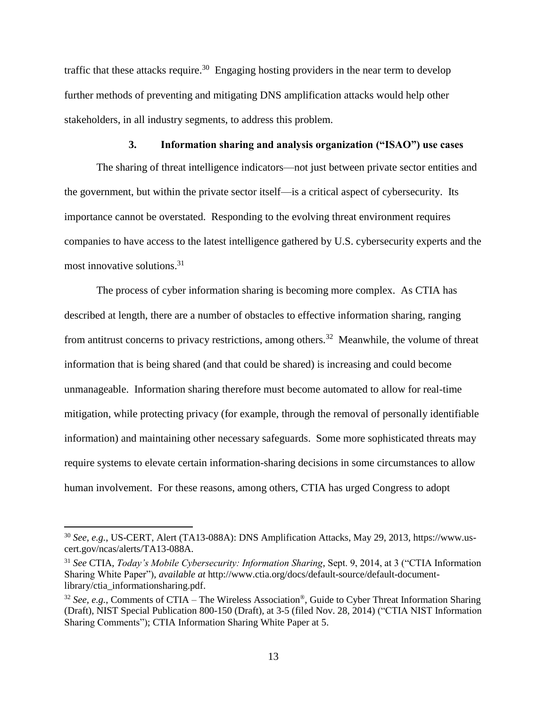traffic that these attacks require.<sup>30</sup> Engaging hosting providers in the near term to develop further methods of preventing and mitigating DNS amplification attacks would help other stakeholders, in all industry segments, to address this problem.

### **3. Information sharing and analysis organization ("ISAO") use cases**

<span id="page-14-0"></span>The sharing of threat intelligence indicators—not just between private sector entities and the government, but within the private sector itself—is a critical aspect of cybersecurity. Its importance cannot be overstated. Responding to the evolving threat environment requires companies to have access to the latest intelligence gathered by U.S. cybersecurity experts and the most innovative solutions. 31

The process of cyber information sharing is becoming more complex. As CTIA has described at length, there are a number of obstacles to effective information sharing, ranging from antitrust concerns to privacy restrictions, among others.<sup>32</sup> Meanwhile, the volume of threat information that is being shared (and that could be shared) is increasing and could become unmanageable. Information sharing therefore must become automated to allow for real-time mitigation, while protecting privacy (for example, through the removal of personally identifiable information) and maintaining other necessary safeguards. Some more sophisticated threats may require systems to elevate certain information-sharing decisions in some circumstances to allow human involvement. For these reasons, among others, CTIA has urged Congress to adopt

<sup>30</sup> *See, e.g.*, US-CERT, Alert (TA13-088A): DNS Amplification Attacks, May 29, 2013, https://www.uscert.gov/ncas/alerts/TA13-088A.

<sup>31</sup> *See* CTIA, *Today's Mobile Cybersecurity: Information Sharing*, Sept. 9, 2014, at 3 ("CTIA Information Sharing White Paper"), *available at* http://www.ctia.org/docs/default-source/default-documentlibrary/ctia\_informationsharing.pdf.

<sup>32</sup> *See, e.g.*, Comments of CTIA – The Wireless Association®, Guide to Cyber Threat Information Sharing (Draft), NIST Special Publication 800-150 (Draft), at 3-5 (filed Nov. 28, 2014) ("CTIA NIST Information Sharing Comments"); CTIA Information Sharing White Paper at 5.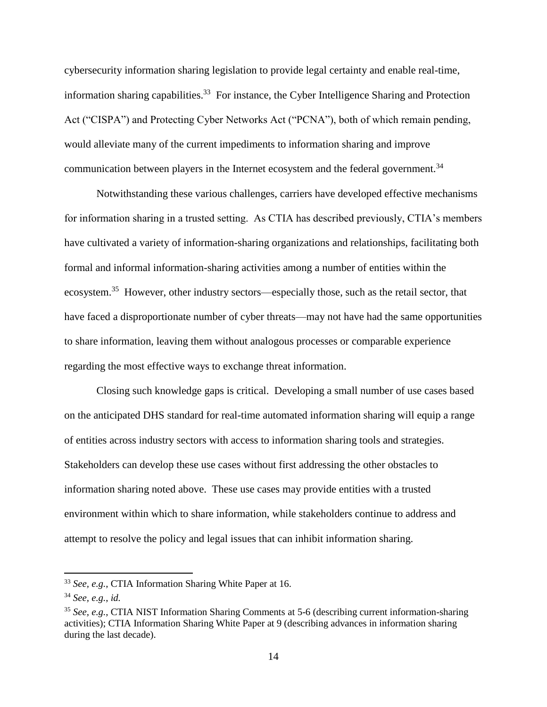cybersecurity information sharing legislation to provide legal certainty and enable real-time, information sharing capabilities.<sup>33</sup> For instance, the Cyber Intelligence Sharing and Protection Act ("CISPA") and Protecting Cyber Networks Act ("PCNA"), both of which remain pending, would alleviate many of the current impediments to information sharing and improve communication between players in the Internet ecosystem and the federal government.<sup>34</sup>

Notwithstanding these various challenges, carriers have developed effective mechanisms for information sharing in a trusted setting. As CTIA has described previously, CTIA's members have cultivated a variety of information-sharing organizations and relationships, facilitating both formal and informal information-sharing activities among a number of entities within the ecosystem.<sup>35</sup> However, other industry sectors—especially those, such as the retail sector, that have faced a disproportionate number of cyber threats—may not have had the same opportunities to share information, leaving them without analogous processes or comparable experience regarding the most effective ways to exchange threat information.

Closing such knowledge gaps is critical. Developing a small number of use cases based on the anticipated DHS standard for real-time automated information sharing will equip a range of entities across industry sectors with access to information sharing tools and strategies. Stakeholders can develop these use cases without first addressing the other obstacles to information sharing noted above. These use cases may provide entities with a trusted environment within which to share information, while stakeholders continue to address and attempt to resolve the policy and legal issues that can inhibit information sharing.

<sup>33</sup> *See, e.g.*, CTIA Information Sharing White Paper at 16.

<sup>34</sup> *See, e.g.*, *id.*

<sup>35</sup> *See, e.g.*, CTIA NIST Information Sharing Comments at 5-6 (describing current information-sharing activities); CTIA Information Sharing White Paper at 9 (describing advances in information sharing during the last decade).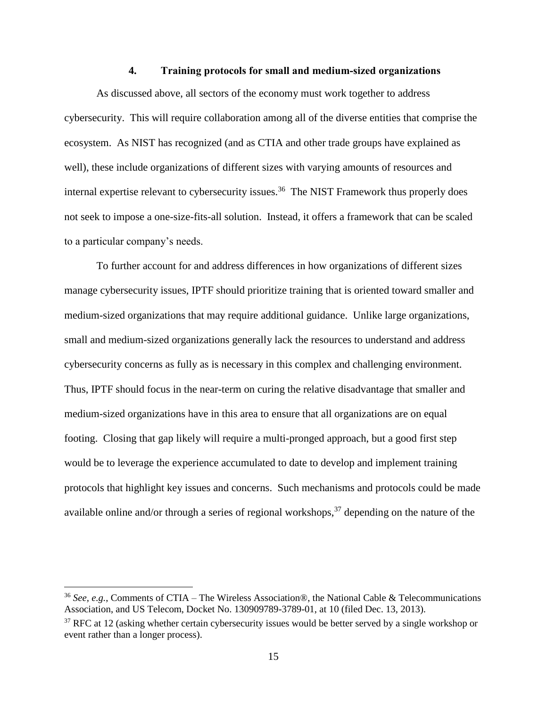#### **4. Training protocols for small and medium-sized organizations**

<span id="page-16-0"></span>As discussed above, all sectors of the economy must work together to address cybersecurity. This will require collaboration among all of the diverse entities that comprise the ecosystem. As NIST has recognized (and as CTIA and other trade groups have explained as well), these include organizations of different sizes with varying amounts of resources and internal expertise relevant to cybersecurity issues.<sup>36</sup> The NIST Framework thus properly does not seek to impose a one-size-fits-all solution. Instead, it offers a framework that can be scaled to a particular company's needs.

To further account for and address differences in how organizations of different sizes manage cybersecurity issues, IPTF should prioritize training that is oriented toward smaller and medium-sized organizations that may require additional guidance. Unlike large organizations, small and medium-sized organizations generally lack the resources to understand and address cybersecurity concerns as fully as is necessary in this complex and challenging environment. Thus, IPTF should focus in the near-term on curing the relative disadvantage that smaller and medium-sized organizations have in this area to ensure that all organizations are on equal footing. Closing that gap likely will require a multi-pronged approach, but a good first step would be to leverage the experience accumulated to date to develop and implement training protocols that highlight key issues and concerns. Such mechanisms and protocols could be made available online and/or through a series of regional workshops,  $37$  depending on the nature of the

<sup>36</sup> *See, e.g.*, Comments of CTIA – The Wireless Association®, the National Cable & Telecommunications Association, and US Telecom, Docket No. 130909789-3789-01, at 10 (filed Dec. 13, 2013).

<sup>&</sup>lt;sup>37</sup> RFC at 12 (asking whether certain cybersecurity issues would be better served by a single workshop or event rather than a longer process).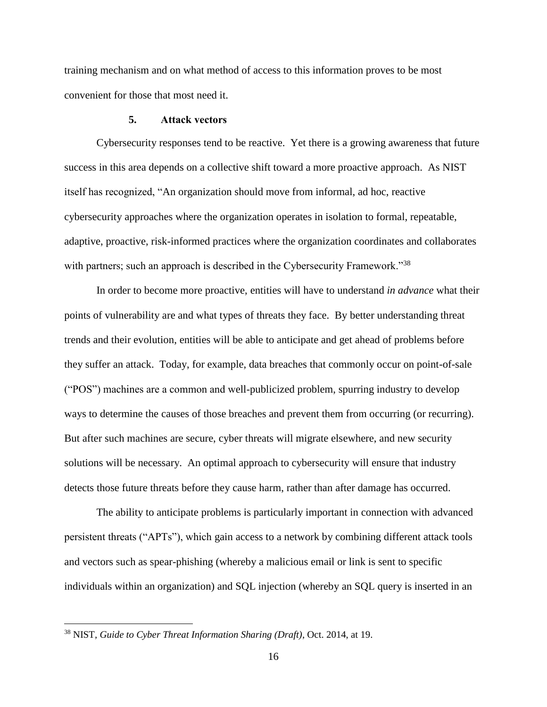training mechanism and on what method of access to this information proves to be most convenient for those that most need it.

#### **5. Attack vectors**

<span id="page-17-0"></span>Cybersecurity responses tend to be reactive. Yet there is a growing awareness that future success in this area depends on a collective shift toward a more proactive approach. As NIST itself has recognized, "An organization should move from informal, ad hoc, reactive cybersecurity approaches where the organization operates in isolation to formal, repeatable, adaptive, proactive, risk-informed practices where the organization coordinates and collaborates with partners; such an approach is described in the Cybersecurity Framework."<sup>38</sup>

In order to become more proactive, entities will have to understand *in advance* what their points of vulnerability are and what types of threats they face. By better understanding threat trends and their evolution, entities will be able to anticipate and get ahead of problems before they suffer an attack. Today, for example, data breaches that commonly occur on point-of-sale ("POS") machines are a common and well-publicized problem, spurring industry to develop ways to determine the causes of those breaches and prevent them from occurring (or recurring). But after such machines are secure, cyber threats will migrate elsewhere, and new security solutions will be necessary. An optimal approach to cybersecurity will ensure that industry detects those future threats before they cause harm, rather than after damage has occurred.

The ability to anticipate problems is particularly important in connection with advanced persistent threats ("APTs"), which gain access to a network by combining different attack tools and vectors such as spear-phishing (whereby a malicious email or link is sent to specific individuals within an organization) and SQL injection (whereby an SQL query is inserted in an

<sup>38</sup> NIST, *Guide to Cyber Threat Information Sharing (Draft)*, Oct. 2014, at 19.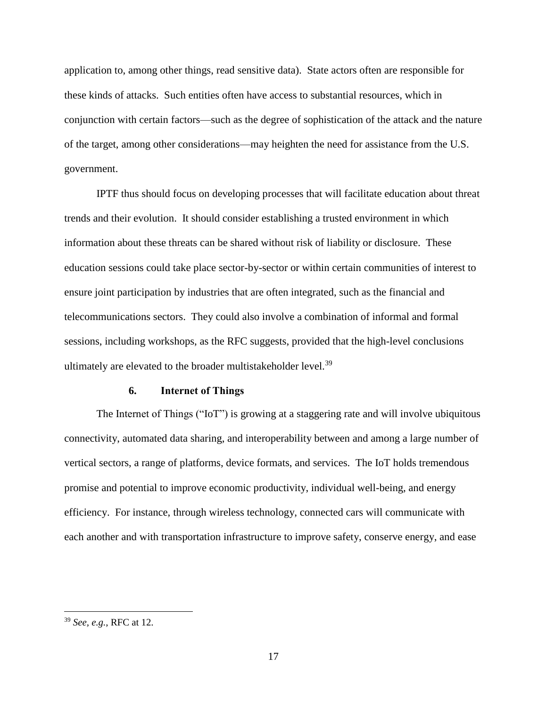application to, among other things, read sensitive data). State actors often are responsible for these kinds of attacks. Such entities often have access to substantial resources, which in conjunction with certain factors—such as the degree of sophistication of the attack and the nature of the target, among other considerations—may heighten the need for assistance from the U.S. government.

IPTF thus should focus on developing processes that will facilitate education about threat trends and their evolution. It should consider establishing a trusted environment in which information about these threats can be shared without risk of liability or disclosure. These education sessions could take place sector-by-sector or within certain communities of interest to ensure joint participation by industries that are often integrated, such as the financial and telecommunications sectors. They could also involve a combination of informal and formal sessions, including workshops, as the RFC suggests, provided that the high-level conclusions ultimately are elevated to the broader multistakeholder level.<sup>39</sup>

#### **6. Internet of Things**

<span id="page-18-0"></span>The Internet of Things ("IoT") is growing at a staggering rate and will involve ubiquitous connectivity, automated data sharing, and interoperability between and among a large number of vertical sectors, a range of platforms, device formats, and services. The IoT holds tremendous promise and potential to improve economic productivity, individual well-being, and energy efficiency. For instance, through wireless technology, connected cars will communicate with each another and with transportation infrastructure to improve safety, conserve energy, and ease

<sup>39</sup> *See, e.g.*, RFC at 12.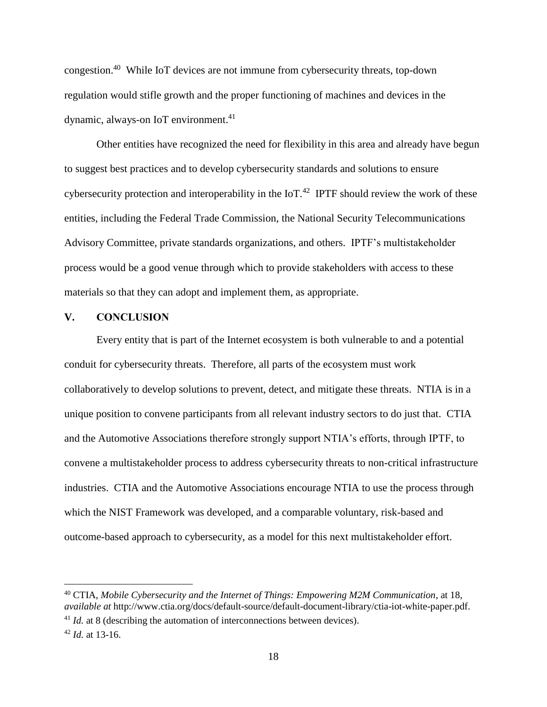congestion.<sup>40</sup> While IoT devices are not immune from cybersecurity threats, top-down regulation would stifle growth and the proper functioning of machines and devices in the dynamic, always-on IoT environment. 41

Other entities have recognized the need for flexibility in this area and already have begun to suggest best practices and to develop cybersecurity standards and solutions to ensure cybersecurity protection and interoperability in the  $I_0T^{1/2}$  IPTF should review the work of these entities, including the Federal Trade Commission, the National Security Telecommunications Advisory Committee, private standards organizations, and others. IPTF's multistakeholder process would be a good venue through which to provide stakeholders with access to these materials so that they can adopt and implement them, as appropriate.

### <span id="page-19-0"></span>**V. CONCLUSION**

Every entity that is part of the Internet ecosystem is both vulnerable to and a potential conduit for cybersecurity threats. Therefore, all parts of the ecosystem must work collaboratively to develop solutions to prevent, detect, and mitigate these threats. NTIA is in a unique position to convene participants from all relevant industry sectors to do just that. CTIA and the Automotive Associations therefore strongly support NTIA's efforts, through IPTF, to convene a multistakeholder process to address cybersecurity threats to non-critical infrastructure industries. CTIA and the Automotive Associations encourage NTIA to use the process through which the NIST Framework was developed, and a comparable voluntary, risk-based and outcome-based approach to cybersecurity, as a model for this next multistakeholder effort.

<sup>40</sup> CTIA, *Mobile Cybersecurity and the Internet of Things: Empowering M2M Communication*, at 18, *available at* http://www.ctia.org/docs/default-source/default-document-library/ctia-iot-white-paper.pdf.

<sup>&</sup>lt;sup>41</sup> *Id.* at 8 (describing the automation of interconnections between devices).

<sup>42</sup> *Id.* at 13-16.